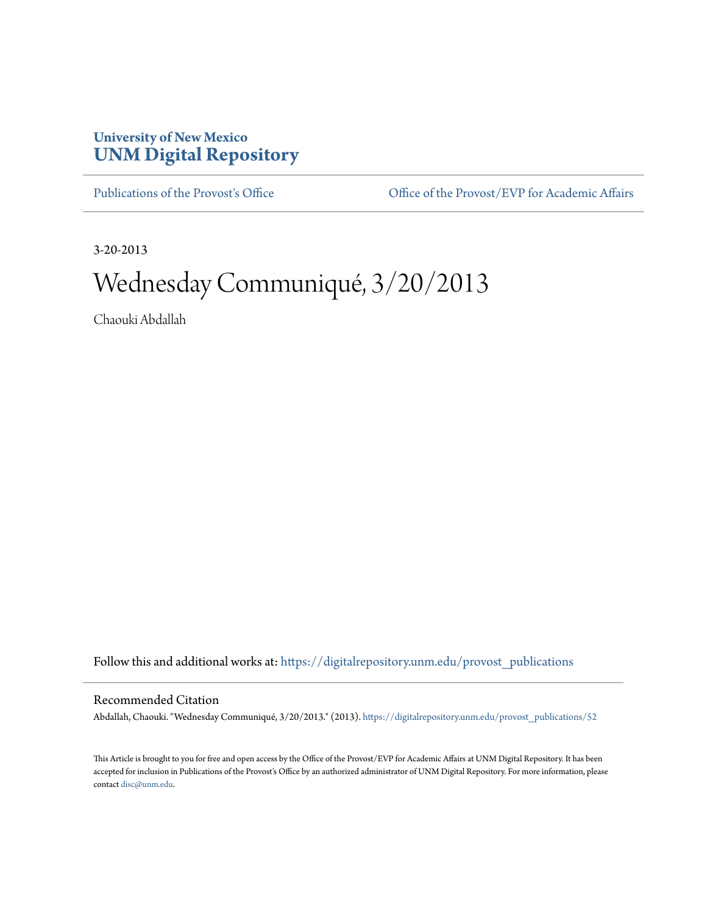## **University of New Mexico [UNM Digital Repository](https://digitalrepository.unm.edu?utm_source=digitalrepository.unm.edu%2Fprovost_publications%2F52&utm_medium=PDF&utm_campaign=PDFCoverPages)**

[Publications of the Provost's Office](https://digitalrepository.unm.edu/provost_publications?utm_source=digitalrepository.unm.edu%2Fprovost_publications%2F52&utm_medium=PDF&utm_campaign=PDFCoverPages) Office [Office of the Provost/EVP for Academic Affairs](https://digitalrepository.unm.edu/ofc_provost?utm_source=digitalrepository.unm.edu%2Fprovost_publications%2F52&utm_medium=PDF&utm_campaign=PDFCoverPages)

3-20-2013

# Wednesday Communiqué, 3/20/2013

Chaouki Abdallah

Follow this and additional works at: [https://digitalrepository.unm.edu/provost\\_publications](https://digitalrepository.unm.edu/provost_publications?utm_source=digitalrepository.unm.edu%2Fprovost_publications%2F52&utm_medium=PDF&utm_campaign=PDFCoverPages)

### Recommended Citation

Abdallah, Chaouki. "Wednesday Communiqué, 3/20/2013." (2013). [https://digitalrepository.unm.edu/provost\\_publications/52](https://digitalrepository.unm.edu/provost_publications/52?utm_source=digitalrepository.unm.edu%2Fprovost_publications%2F52&utm_medium=PDF&utm_campaign=PDFCoverPages)

This Article is brought to you for free and open access by the Office of the Provost/EVP for Academic Affairs at UNM Digital Repository. It has been accepted for inclusion in Publications of the Provost's Office by an authorized administrator of UNM Digital Repository. For more information, please contact [disc@unm.edu.](mailto:disc@unm.edu)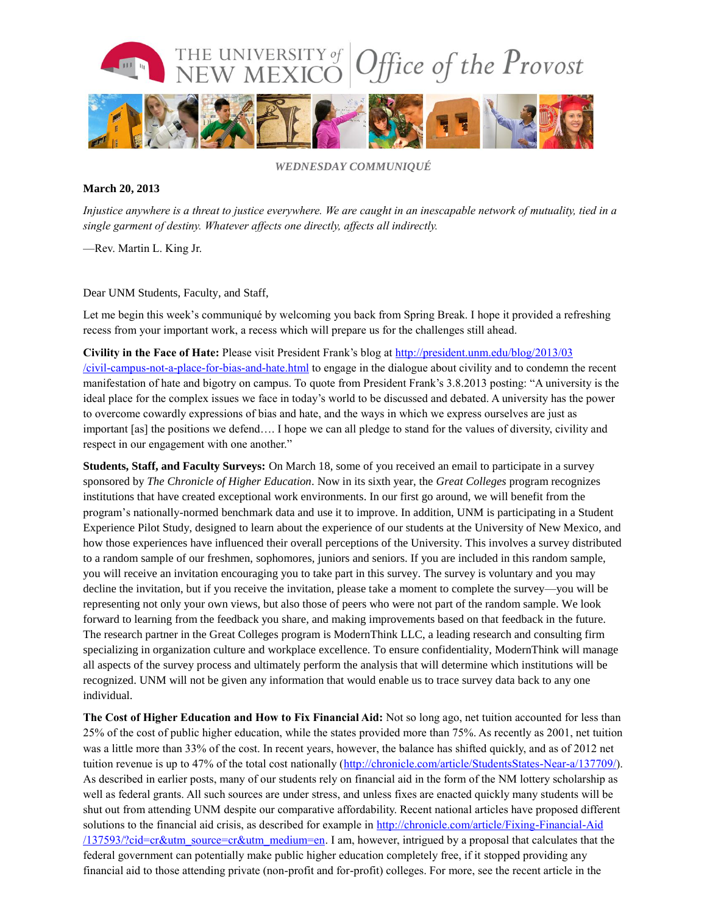

*WEDNESDAY COMMUNIQUÉ*

#### **March 20, 2013**

*Injustice anywhere is a threat to justice everywhere. We are caught in an inescapable network of mutuality, tied in a single garment of destiny. Whatever affects one directly, affects all indirectly.*

—Rev. Martin L. King Jr.

#### Dear UNM Students, Faculty, and Staff,

Let me begin this week's communiqué by welcoming you back from Spring Break. I hope it provided a refreshing recess from your important work, a recess which will prepare us for the challenges still ahead.

**Civility in the Face of Hate:** Please visit President Frank's blog at [http://president.unm.edu/blog/2013/03](http://president.unm.edu/blog/2013/03/civil-) [/civil-](http://president.unm.edu/blog/2013/03/civil-)[campus-not-a-place-for-bias-and-hate.html](http://president.unm.edu/blog/2013/03/civil-campus-not-a-place-for-bias-and-hate.html) to engage in the dialogue about civility and to condemn the recent manifestation of hate and bigotry on campus. To quote from President Frank's 3.8.2013 posting: "A university is the ideal place for the complex issues we face in today's world to be discussed and debated. A university has the power to overcome cowardly expressions of bias and hate, and the ways in which we express ourselves are just as important [as] the positions we defend…. I hope we can all pledge to stand for the values of diversity, civility and respect in our engagement with one another."

**Students, Staff, and Faculty Surveys:** On March 18, some of you received an email to participate in a survey sponsored by *The Chronicle of Higher Education*. Now in its sixth year, the *Great Colleges* program recognizes institutions that have created exceptional work environments. In our first go around, we will benefit from the program's nationally-normed benchmark data and use it to improve. In addition, UNM is participating in a Student Experience Pilot Study, designed to learn about the experience of our students at the University of New Mexico, and how those experiences have influenced their overall perceptions of the University. This involves a survey distributed to a random sample of our freshmen, sophomores, juniors and seniors. If you are included in this random sample, you will receive an invitation encouraging you to take part in this survey. The survey is voluntary and you may decline the invitation, but if you receive the invitation, please take a moment to complete the survey—you will be representing not only your own views, but also those of peers who were not part of the random sample. We look forward to learning from the feedback you share, and making improvements based on that feedback in the future. The research partner in the Great Colleges program is ModernThink LLC, a leading research and consulting firm specializing in organization culture and workplace excellence. To ensure confidentiality, ModernThink will manage all aspects of the survey process and ultimately perform the analysis that will determine which institutions will be recognized. UNM will not be given any information that would enable us to trace survey data back to any one individual.

**The Cost of Higher Education and How to Fix Financial Aid:** Not so long ago, net tuition accounted for less than 25% of the cost of public higher education, while the states provided more than 75%. As recently as 2001, net tuition was a little more than 33% of the cost. In recent years, however, the balance has shifted quickly, and as of 2012 net tuition revenue is up to 47% of the total cost nationally [\(http://chronicle.com/article/StudentsStates-Near-a/137709/\)](http://chronicle.com/article/StudentsStates-Near-a/137709/). As described in earlier posts, many of our students rely on financial aid in the form of the NM lottery scholarship as well as federal grants. All such sources are under stress, and unless fixes are enacted quickly many students will be shut out from attending UNM despite our comparative affordability. Recent national articles have proposed different solutions to the financial aid crisis, as described for example in [http://chronicle.com/article/Fixing-Financial-Aid](http://chronicle.com/article/Fixing-Financial-Aid/137593/?cid=cr&utm_source=cr&utm_medium=en) [/137593/?cid=cr&utm\\_source=cr&utm\\_medium=en.](http://chronicle.com/article/Fixing-Financial-Aid/137593/?cid=cr&utm_source=cr&utm_medium=en) I am, however, intrigued by a proposal that calculates that the federal government can potentially make public higher education completely free, if it stopped providing any financial aid to those attending private (non-profit and for-profit) colleges. For more, see the recent article in the